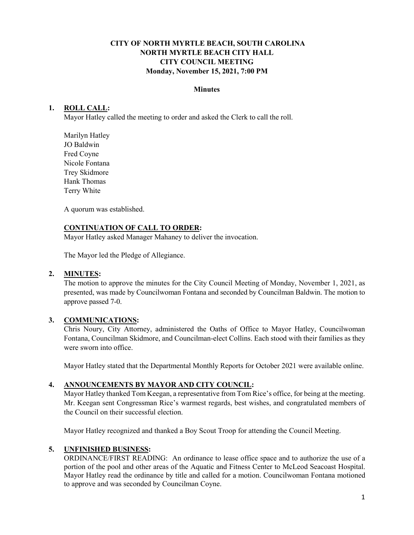# **CITY OF NORTH MYRTLE BEACH, SOUTH CAROLINA NORTH MYRTLE BEACH CITY HALL CITY COUNCIL MEETING Monday, November 15, 2021, 7:00 PM**

### **Minutes**

# **1. ROLL CALL:**

Mayor Hatley called the meeting to order and asked the Clerk to call the roll.

Marilyn Hatley JO Baldwin Fred Coyne Nicole Fontana Trey Skidmore Hank Thomas Terry White

A quorum was established.

#### **CONTINUATION OF CALL TO ORDER:**

Mayor Hatley asked Manager Mahaney to deliver the invocation.

The Mayor led the Pledge of Allegiance.

# **2. MINUTES:**

The motion to approve the minutes for the City Council Meeting of Monday, November 1, 2021, as presented, was made by Councilwoman Fontana and seconded by Councilman Baldwin. The motion to approve passed 7-0.

# **3. COMMUNICATIONS:**

Chris Noury, City Attorney, administered the Oaths of Office to Mayor Hatley, Councilwoman Fontana, Councilman Skidmore, and Councilman-elect Collins. Each stood with their families as they were sworn into office.

Mayor Hatley stated that the Departmental Monthly Reports for October 2021 were available online.

# **4. ANNOUNCEMENTS BY MAYOR AND CITY COUNCIL:**

Mayor Hatley thanked Tom Keegan, a representative from Tom Rice's office, for being at the meeting. Mr. Keegan sent Congressman Rice's warmest regards, best wishes, and congratulated members of the Council on their successful election.

Mayor Hatley recognized and thanked a Boy Scout Troop for attending the Council Meeting.

# **5. UNFINISHED BUSINESS:**

ORDINANCE/FIRST READING: An ordinance to lease office space and to authorize the use of a portion of the pool and other areas of the Aquatic and Fitness Center to McLeod Seacoast Hospital. Mayor Hatley read the ordinance by title and called for a motion. Councilwoman Fontana motioned to approve and was seconded by Councilman Coyne.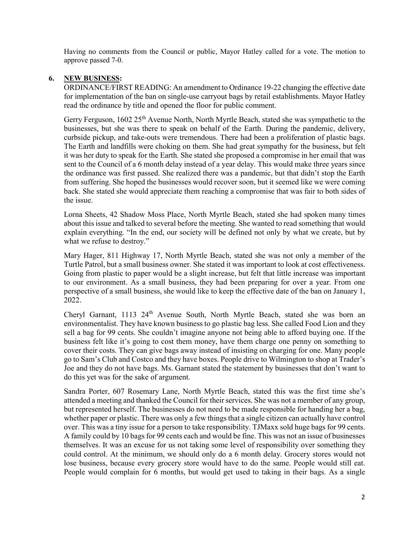Having no comments from the Council or public, Mayor Hatley called for a vote. The motion to approve passed 7-0.

# **6. NEW BUSINESS:**

ORDINANCE/FIRST READING: An amendment to Ordinance 19-22 changing the effective date for implementation of the ban on single-use carryout bags by retail establishments. Mayor Hatley read the ordinance by title and opened the floor for public comment.

Gerry Ferguson, 1602 25<sup>th</sup> Avenue North, North Myrtle Beach, stated she was sympathetic to the businesses, but she was there to speak on behalf of the Earth. During the pandemic, delivery, curbside pickup, and take-outs were tremendous. There had been a proliferation of plastic bags. The Earth and landfills were choking on them. She had great sympathy for the business, but felt it was her duty to speak for the Earth. She stated she proposed a compromise in her email that was sent to the Council of a 6 month delay instead of a year delay. This would make three years since the ordinance was first passed. She realized there was a pandemic, but that didn't stop the Earth from suffering. She hoped the businesses would recover soon, but it seemed like we were coming back. She stated she would appreciate them reaching a compromise that was fair to both sides of the issue.

Lorna Sheets, 42 Shadow Moss Place, North Myrtle Beach, stated she had spoken many times about this issue and talked to several before the meeting. She wanted to read something that would explain everything. "In the end, our society will be defined not only by what we create, but by what we refuse to destroy."

Mary Hager, 811 Highway 17, North Myrtle Beach, stated she was not only a member of the Turtle Patrol, but a small business owner. She stated it was important to look at cost effectiveness. Going from plastic to paper would be a slight increase, but felt that little increase was important to our environment. As a small business, they had been preparing for over a year. From one perspective of a small business, she would like to keep the effective date of the ban on January 1, 2022.

Cheryl Garnant, 1113 24<sup>th</sup> Avenue South, North Myrtle Beach, stated she was born an environmentalist. They have known business to go plastic bag less. She called Food Lion and they sell a bag for 99 cents. She couldn't imagine anyone not being able to afford buying one. If the business felt like it's going to cost them money, have them charge one penny on something to cover their costs. They can give bags away instead of insisting on charging for one. Many people go to Sam's Club and Costco and they have boxes. People drive to Wilmington to shop at Trader's Joe and they do not have bags. Ms. Garnant stated the statement by businesses that don't want to do this yet was for the sake of argument.

Sandra Porter, 607 Rosemary Lane, North Myrtle Beach, stated this was the first time she's attended a meeting and thanked the Council for their services. She was not a member of any group, but represented herself. The businesses do not need to be made responsible for handing her a bag, whether paper or plastic. There was only a few things that a single citizen can actually have control over. This was a tiny issue for a person to take responsibility. TJMaxx sold huge bags for 99 cents. A family could by 10 bags for 99 cents each and would be fine. This was not an issue of businesses themselves. It was an excuse for us not taking some level of responsibility over something they could control. At the minimum, we should only do a 6 month delay. Grocery stores would not lose business, because every grocery store would have to do the same. People would still eat. People would complain for 6 months, but would get used to taking in their bags. As a single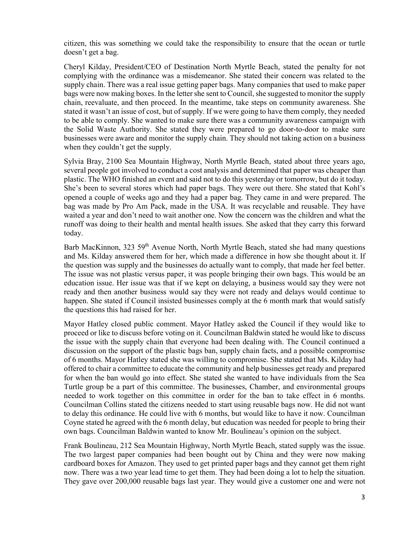citizen, this was something we could take the responsibility to ensure that the ocean or turtle doesn't get a bag.

Cheryl Kilday, President/CEO of Destination North Myrtle Beach, stated the penalty for not complying with the ordinance was a misdemeanor. She stated their concern was related to the supply chain. There was a real issue getting paper bags. Many companies that used to make paper bags were now making boxes. In the letter she sent to Council, she suggested to monitor the supply chain, reevaluate, and then proceed. In the meantime, take steps on community awareness. She stated it wasn't an issue of cost, but of supply. If we were going to have them comply, they needed to be able to comply. She wanted to make sure there was a community awareness campaign with the Solid Waste Authority. She stated they were prepared to go door-to-door to make sure businesses were aware and monitor the supply chain. They should not taking action on a business when they couldn't get the supply.

Sylvia Bray, 2100 Sea Mountain Highway, North Myrtle Beach, stated about three years ago, several people got involved to conduct a cost analysis and determined that paper was cheaper than plastic. The WHO finished an event and said not to do this yesterday or tomorrow, but do it today. She's been to several stores which had paper bags. They were out there. She stated that Kohl's opened a couple of weeks ago and they had a paper bag. They came in and were prepared. The bag was made by Pro Am Pack, made in the USA. It was recyclable and reusable. They have waited a year and don't need to wait another one. Now the concern was the children and what the runoff was doing to their health and mental health issues. She asked that they carry this forward today.

Barb MacKinnon, 323 59<sup>th</sup> Avenue North, North Myrtle Beach, stated she had many questions and Ms. Kilday answered them for her, which made a difference in how she thought about it. If the question was supply and the businesses do actually want to comply, that made her feel better. The issue was not plastic versus paper, it was people bringing their own bags. This would be an education issue. Her issue was that if we kept on delaying, a business would say they were not ready and then another business would say they were not ready and delays would continue to happen. She stated if Council insisted businesses comply at the 6 month mark that would satisfy the questions this had raised for her.

Mayor Hatley closed public comment. Mayor Hatley asked the Council if they would like to proceed or like to discuss before voting on it. Councilman Baldwin stated he would like to discuss the issue with the supply chain that everyone had been dealing with. The Council continued a discussion on the support of the plastic bags ban, supply chain facts, and a possible compromise of 6 months. Mayor Hatley stated she was willing to compromise. She stated that Ms. Kilday had offered to chair a committee to educate the community and help businesses get ready and prepared for when the ban would go into effect. She stated she wanted to have individuals from the Sea Turtle group be a part of this committee. The businesses, Chamber, and environmental groups needed to work together on this committee in order for the ban to take effect in 6 months. Councilman Collins stated the citizens needed to start using reusable bags now. He did not want to delay this ordinance. He could live with 6 months, but would like to have it now. Councilman Coyne stated he agreed with the 6 month delay, but education was needed for people to bring their own bags. Councilman Baldwin wanted to know Mr. Boulineau's opinion on the subject.

Frank Boulineau, 212 Sea Mountain Highway, North Myrtle Beach, stated supply was the issue. The two largest paper companies had been bought out by China and they were now making cardboard boxes for Amazon. They used to get printed paper bags and they cannot get them right now. There was a two year lead time to get them. They had been doing a lot to help the situation. They gave over 200,000 reusable bags last year. They would give a customer one and were not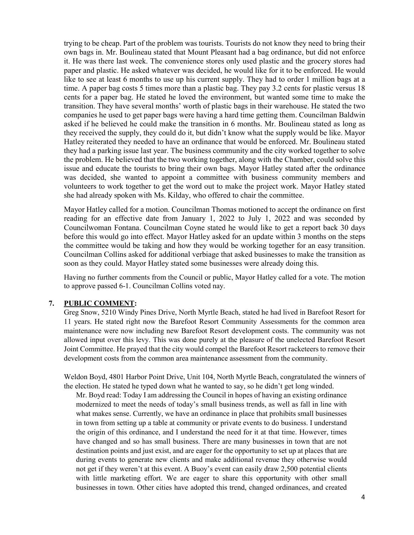trying to be cheap. Part of the problem was tourists. Tourists do not know they need to bring their own bags in. Mr. Boulineau stated that Mount Pleasant had a bag ordinance, but did not enforce it. He was there last week. The convenience stores only used plastic and the grocery stores had paper and plastic. He asked whatever was decided, he would like for it to be enforced. He would like to see at least 6 months to use up his current supply. They had to order 1 million bags at a time. A paper bag costs 5 times more than a plastic bag. They pay 3.2 cents for plastic versus 18 cents for a paper bag. He stated he loved the environment, but wanted some time to make the transition. They have several months' worth of plastic bags in their warehouse. He stated the two companies he used to get paper bags were having a hard time getting them. Councilman Baldwin asked if he believed he could make the transition in 6 months. Mr. Boulineau stated as long as they received the supply, they could do it, but didn't know what the supply would be like. Mayor Hatley reiterated they needed to have an ordinance that would be enforced. Mr. Boulineau stated they had a parking issue last year. The business community and the city worked together to solve the problem. He believed that the two working together, along with the Chamber, could solve this issue and educate the tourists to bring their own bags. Mayor Hatley stated after the ordinance was decided, she wanted to appoint a committee with business community members and volunteers to work together to get the word out to make the project work. Mayor Hatley stated she had already spoken with Ms. Kilday, who offered to chair the committee.

Mayor Hatley called for a motion. Councilman Thomas motioned to accept the ordinance on first reading for an effective date from January 1, 2022 to July 1, 2022 and was seconded by Councilwoman Fontana. Councilman Coyne stated he would like to get a report back 30 days before this would go into effect. Mayor Hatley asked for an update within 3 months on the steps the committee would be taking and how they would be working together for an easy transition. Councilman Collins asked for additional verbiage that asked businesses to make the transition as soon as they could. Mayor Hatley stated some businesses were already doing this.

Having no further comments from the Council or public, Mayor Hatley called for a vote. The motion to approve passed 6-1. Councilman Collins voted nay.

# **7. PUBLIC COMMENT:**

Greg Snow, 5210 Windy Pines Drive, North Myrtle Beach, stated he had lived in Barefoot Resort for 11 years. He stated right now the Barefoot Resort Community Assessments for the common area maintenance were now including new Barefoot Resort development costs. The community was not allowed input over this levy. This was done purely at the pleasure of the unelected Barefoot Resort Joint Committee. He prayed that the city would compel the Barefoot Resort racketeers to remove their development costs from the common area maintenance assessment from the community.

Weldon Boyd, 4801 Harbor Point Drive, Unit 104, North Myrtle Beach, congratulated the winners of the election. He stated he typed down what he wanted to say, so he didn't get long winded.

Mr. Boyd read: Today I am addressing the Council in hopes of having an existing ordinance modernized to meet the needs of today's small business trends, as well as fall in line with what makes sense. Currently, we have an ordinance in place that prohibits small businesses in town from setting up a table at community or private events to do business. I understand the origin of this ordinance, and I understand the need for it at that time. However, times have changed and so has small business. There are many businesses in town that are not destination points and just exist, and are eager for the opportunity to set up at places that are during events to generate new clients and make additional revenue they otherwise would not get if they weren't at this event. A Buoy's event can easily draw 2,500 potential clients with little marketing effort. We are eager to share this opportunity with other small businesses in town. Other cities have adopted this trend, changed ordinances, and created